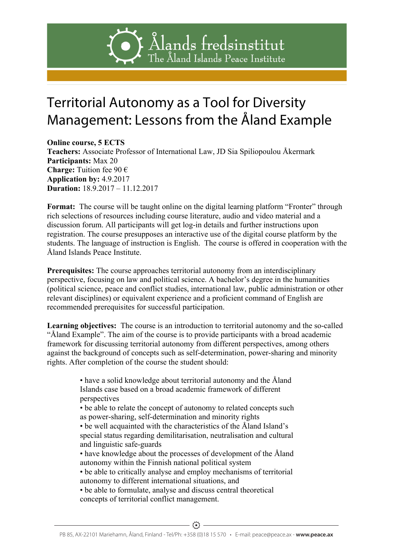# Ålands fredsinstitut The Aland Islands Peace Institute

## Management: Lessons from the Åland Example The Åland Islands Territorial Autonomy as a Tool for Diversity

Teachers: Associate Professor of International Law, JD Sia Spiliopoulou Åkermark Peace[Institute.<br>Iredsinstitut Ålands fredsinstitut Ålands fredsinstitut The Åland Islands Peace Institute **Online course, 5 ECTS Participants:** Max 20 **Charge:** Tuition fee 90 € **Application by:** 4.9.2017 **Duration:** 18.9.2017 – 11.12.2017

**Format:** The course will be taught online on the digital learning platform "Fronter" through rich selections of resources including course literature, audio and video material and a discussion forum. All participants will get log-in details and further instructions upon registration. The course presupposes an interactive use of the digital course platform by the students. The language of instruction is English. The course is offered in cooperation with the Åland Islands Peace Institute.

**Prerequisites:** The course approaches territorial autonomy from an interdisciplinary perspective, focusing on law and political science. A bachelor's degree in the humanities (political science, peace and conflict studies, international law, public administration or other relevant disciplines) or equivalent experience and a proficient command of English are recommended prerequisites for successful participation.

**Learning objectives:** The course is an introduction to territorial autonomy and the so-called "Åland Example". The aim of the course is to provide participants with a broad academic framework for discussing territorial autonomy from different perspectives, among others against the background of concepts such as self-determination, power-sharing and minority rights. After completion of the course the student should:

> • have a solid knowledge about territorial autonomy and the Åland Islands case based on a broad academic framework of different perspectives

• be able to relate the concept of autonomy to related concepts such as power-sharing, self-determination and minority rights

• be well acquainted with the characteristics of the Åland Island's special status regarding demilitarisation, neutralisation and cultural and linguistic safe-guards

• have knowledge about the processes of development of the Åland autonomy within the Finnish national political system

• be able to critically analyse and employ mechanisms of territorial autonomy to different international situations, and

• be able to formulate, analyse and discuss central theoretical concepts of territorial conflict management.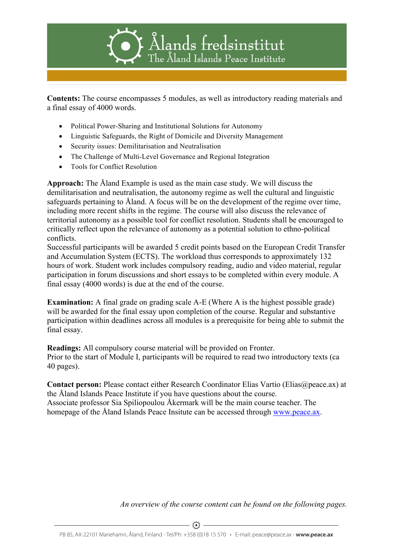

### $he$  Aland Islands

Contents: The course encompasses **P** modules as well as introductory reading materials and a final essay of 4000 words.

- Political Power-Sharing and Institutional Solutions for Autonomy
- Linguistic Safeguards, the Right of Domicile and Diversity Management
- Security issues: Demilitarisation and Neutralisation
- Security issues. Definite the and Regitalisation
- Tools for Conflict Resolution Fredsinstitute

#### Ålands fredsinstitut

demilitarisation and neutralisation, the autonomy regime as well the cultural and linguistic safeguards pertaining to Åland. A focusiwill be on the development of the regime over time, **Approach:** The Åland Example is used as the main case study. We will discuss the including more recent shifts in the regime. The course will also discuss the relevance of territorial autonomy as a possible tool for conflict resolution. Students shall be encouraged to critically reflect upon the relevance of autonomy as a potential solution to ethno-political conflicts.

Successful participants will be awarded 5 credit points based on the European Credit Transfer and Accumulation System (ECTS). The workload thus corresponds to approximately 132 hours of work. Student work includes compulsory reading, audio and video material, regular participation in forum discussions and short essays to be completed within every module. A final essay (4000 words) is due at the end of the course.

**Examination:** A final grade on grading scale A-E (Where A is the highest possible grade) will be awarded for the final essay upon completion of the course. Regular and substantive participation within deadlines across all modules is a prerequisite for being able to submit the final essay.

**Readings:** All compulsory course material will be provided on Fronter. Prior to the start of Module I, participants will be required to read two introductory texts (ca 40 pages).

**Contact person:** Please contact either Research Coordinator Elias Vartio (Elias@peace.ax) at the Åland Islands Peace Institute if you have questions about the course. Associate professor Sia Spiliopoulou Åkermark will be the main course teacher. The homepage of the Åland Islands Peace Insitute can be accessed through www.peace.ax.

*An overview of the course content can be found on the following pages.*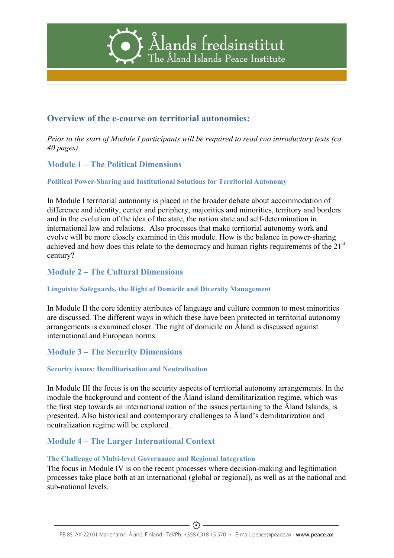



**Overview of the e-course on territorial autonomies:**

Ålands fredsinstitut

Ålånds *Prior to the start of Module I participants will be required to read two introductory texts (ca 40 pages)* 

ferellnstitute:<br>Iredsinstitut The **Aland** Salands Peace Institute **Module 1 – The Politic** 

Ålands fredsinstitut **Political Power-Sharing and Institutional Solutions for Territorial Autonomy** 

Ålands In Module I territorial autonomy is placed in the broader debate about accommodation of difference and identity, center and periphery, majorities and minorities, territory and borders and in the evolution of the idea of the state, the nation state and self-determination in international law and relations. Also processes that make territorial autonomy work and evolve will be more closely examined in this module. How is the balance in power-sharing achieved and how does this relate to the democracy and human rights requirements of the 21<sup>st</sup> century?

**Module 2 – The Cultural Dimensions**

**Linguistic Safeguards, the Right of Domicile and Diversity Management**

In Module II the core identity attributes of language and culture common to most minorities are discussed. The different ways in which these have been protected in territorial autonomy arrangements is examined closer. The right of domicile on Åland is discussed against international and European norms.

#### **Module 3 – The Security Dimensions**

#### **Security issues: Demilitarisation and Neutralisation**

In Module III the focus is on the security aspects of territorial autonomy arrangements. In the module the background and content of the Åland island demilitarization regime, which was the first step towards an internationalization of the issues pertaining to the Åland Islands, is presented. Also historical and contemporary challenges to Åland's demilitarization and neutralization regime will be explored.

#### **Module 4 – The Larger International Context**

#### **The Challenge of Multi-level Governance and Regional Integration**

The focus in Module IV is on the recent processes where decision-making and legitimation processes take place both at an international (global or regional), as well as at the national and sub-national levels.

The  $\overline{\phantom{a}}$